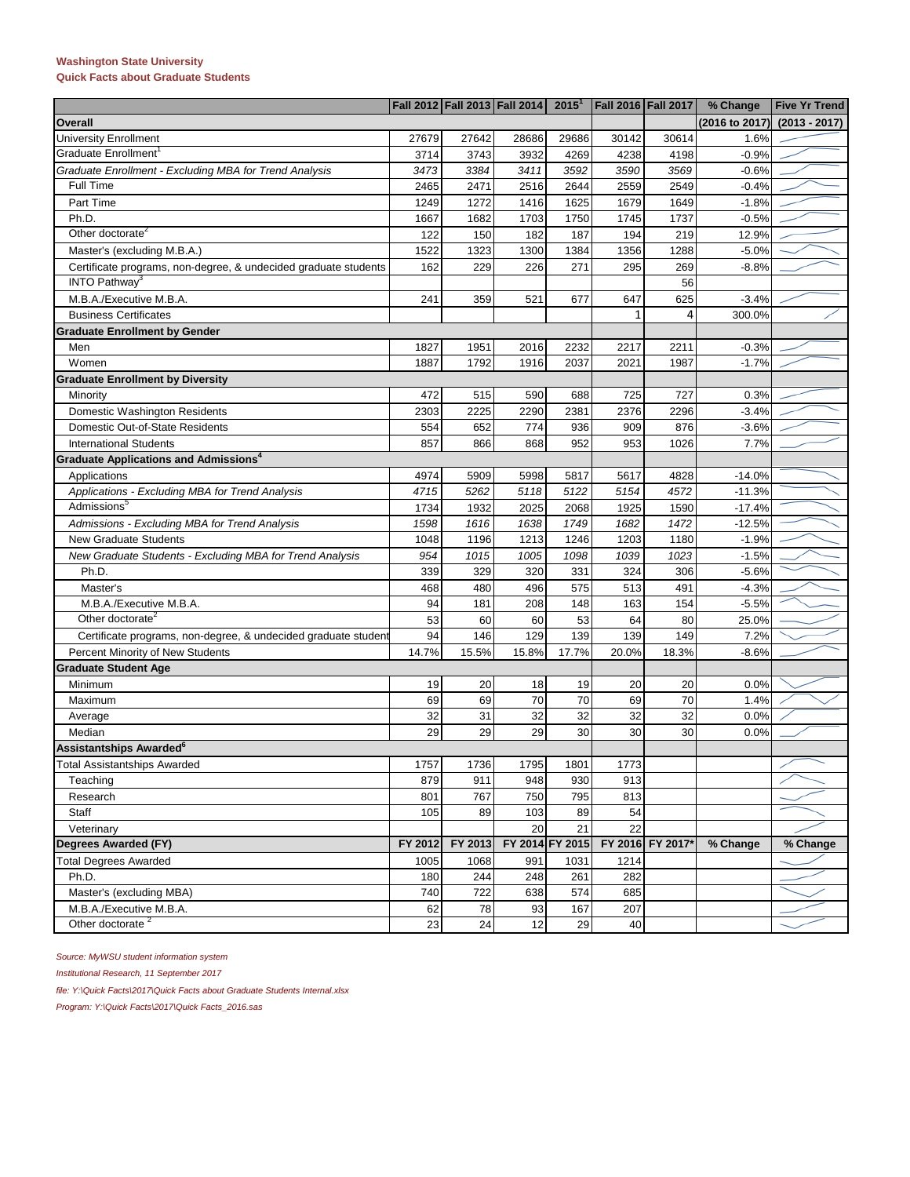## **Washington State University Quick Facts about Graduate Students**

|                                                                 |         | Fall 2012 Fall 2013 Fall 2014 |         | 2015 <sup>1</sup> | Fall 2016 Fall 2017 |                  | % Change       | <b>Five Yr Trend</b> |  |  |
|-----------------------------------------------------------------|---------|-------------------------------|---------|-------------------|---------------------|------------------|----------------|----------------------|--|--|
| Overall                                                         |         |                               |         |                   |                     |                  | (2016 to 2017) | $(2013 - 2017)$      |  |  |
| <b>University Enrollment</b>                                    | 27679   | 27642                         | 28686   | 29686             | 30142               | 30614            | 1.6%           |                      |  |  |
| Graduate Enrollment <sup>1</sup>                                | 3714    | 3743                          | 3932    | 4269              | 4238                | 4198             | $-0.9%$        |                      |  |  |
| Graduate Enrollment - Excluding MBA for Trend Analysis          | 3473    | 3384                          | 3411    | 3592              | 3590                | 3569             | $-0.6%$        |                      |  |  |
| Full Time                                                       | 2465    | 2471                          | 2516    | 2644              | 2559                | 2549             | $-0.4%$        |                      |  |  |
| Part Time                                                       | 1249    | 1272                          | 1416    | 1625              | 1679                | 1649             | $-1.8%$        |                      |  |  |
| Ph.D.                                                           | 1667    | 1682                          | 1703    | 1750              | 1745                | 1737             | $-0.5%$        |                      |  |  |
| Other doctorate <sup>2</sup>                                    | 122     | 150                           | 182     | 187               | 194                 | 219              | 12.9%          |                      |  |  |
| Master's (excluding M.B.A.)                                     | 1522    | 1323                          | 1300    | 1384              | 1356                | 1288             | $-5.0%$        |                      |  |  |
| Certificate programs, non-degree, & undecided graduate students | 162     | 229                           | 226     | 271               | 295                 | 269              | $-8.8%$        |                      |  |  |
| INTO Pathway <sup>3</sup>                                       |         |                               |         |                   |                     | 56               |                |                      |  |  |
| M.B.A./Executive M.B.A.                                         | 241     | 359                           | 521     | 677               | 647                 | 625              | $-3.4%$        |                      |  |  |
| <b>Business Certificates</b>                                    |         |                               |         |                   | 1                   | 4                | 300.0%         |                      |  |  |
| <b>Graduate Enrollment by Gender</b>                            |         |                               |         |                   |                     |                  |                |                      |  |  |
| Men                                                             | 1827    | 1951                          | 2016    | 2232              | 2217                | 2211             | $-0.3%$        |                      |  |  |
| Women                                                           | 1887    | 1792                          | 1916    | 2037              | 2021                | 1987             | $-1.7%$        |                      |  |  |
| <b>Graduate Enrollment by Diversity</b>                         |         |                               |         |                   |                     |                  |                |                      |  |  |
| Minority                                                        | 472     | 515                           | 590     | 688               | 725                 | 727              | 0.3%           |                      |  |  |
| Domestic Washington Residents                                   | 2303    | 2225                          | 2290    | 2381              | 2376                | 2296             | $-3.4%$        |                      |  |  |
| Domestic Out-of-State Residents                                 | 554     | 652                           | 774     | 936               | 909                 | 876              | $-3.6%$        |                      |  |  |
| <b>International Students</b>                                   | 857     | 866                           | 868     | 952               | 953                 | 1026             | 7.7%           |                      |  |  |
| Graduate Applications and Admissions <sup>4</sup>               |         |                               |         |                   |                     |                  |                |                      |  |  |
| Applications                                                    | 4974    | 5909                          | 5998    | 5817              | 5617                | 4828             | $-14.0%$       |                      |  |  |
| Applications - Excluding MBA for Trend Analysis                 | 4715    | 5262                          | 5118    | 5122              | 5154                | 4572             | $-11.3%$       |                      |  |  |
| Admissions <sup>5</sup>                                         | 1734    | 1932                          | 2025    | 2068              | 1925                | 1590             | $-17.4%$       |                      |  |  |
| Admissions - Excluding MBA for Trend Analysis                   | 1598    | 1616                          | 1638    | 1749              | 1682                | 1472             | $-12.5%$       |                      |  |  |
| <b>New Graduate Students</b>                                    | 1048    | 1196                          | 1213    | 1246              | 1203                | 1180             | $-1.9%$        |                      |  |  |
| New Graduate Students - Excluding MBA for Trend Analysis        | 954     | 1015                          | 1005    | 1098              | 1039                | 1023             | $-1.5%$        |                      |  |  |
| Ph.D.                                                           | 339     | 329                           | 320     | 331               | 324                 | 306              | $-5.6%$        |                      |  |  |
| Master's                                                        | 468     | 480                           | 496     | 575               | 513                 | 491              | $-4.3%$        |                      |  |  |
| M.B.A./Executive M.B.A.                                         | 94      | 181                           | 208     | 148               | 163                 | 154              | $-5.5%$        |                      |  |  |
| Other doctorate <sup>2</sup>                                    | 53      | 60                            | 60      | 53                | 64                  | 80               | 25.0%          |                      |  |  |
| Certificate programs, non-degree, & undecided graduate student  | 94      | 146                           | 129     | 139               | 139                 | 149              | 7.2%           |                      |  |  |
| Percent Minority of New Students                                | 14.7%   | 15.5%                         | 15.8%   | 17.7%             | 20.0%               | 18.3%            | $-8.6%$        |                      |  |  |
| <b>Graduate Student Age</b>                                     |         |                               |         |                   |                     |                  |                |                      |  |  |
| Minimum                                                         | 19      | 20                            | 18      | 19                | 20                  | 20               | 0.0%           |                      |  |  |
| Maximum                                                         | 69      | 69                            | 70      | 70                | 69                  | 70               | 1.4%           |                      |  |  |
| Average                                                         | 32      | 31                            | 32      | 32                | 32                  | 32               | 0.0%           |                      |  |  |
| Median                                                          | 29      | 29                            | 29      | 30                | 30                  | 30               | 0.0%           |                      |  |  |
| Assistantships Awarded <sup>6</sup>                             |         |                               |         |                   |                     |                  |                |                      |  |  |
| <b>Total Assistantships Awarded</b>                             | 1757    | 1736                          | 1795    | 1801              | 1773                |                  |                |                      |  |  |
| Teaching                                                        | 879     | 911                           | 948     | 930               | 913                 |                  |                |                      |  |  |
| Research                                                        | 801     | 767                           | 750     | 795               | 813                 |                  |                |                      |  |  |
| Staff                                                           | 105     | 89                            | 103     | 89                | 54                  |                  |                |                      |  |  |
| Veterinary                                                      |         |                               | 20      | 21                | 22                  |                  |                |                      |  |  |
| Degrees Awarded (FY)                                            | FY 2012 | FY 2013                       | FY 2014 | FY 2015           |                     | FY 2016 FY 2017* | % Change       | % Change             |  |  |
| <b>Total Degrees Awarded</b>                                    | 1005    | 1068                          | 991     | 1031              | 1214                |                  |                |                      |  |  |
| Ph.D.                                                           | 180     | 244                           | 248     | 261               | 282                 |                  |                |                      |  |  |
| Master's (excluding MBA)                                        | 740     | 722                           | 638     | 574               | 685                 |                  |                |                      |  |  |
| M.B.A./Executive M.B.A.                                         | 62      | 78                            | 93      | 167               | 207                 |                  |                |                      |  |  |
| Other doctorate <sup>2</sup>                                    | 23      | 24                            | 12      | 29                | 40                  |                  |                |                      |  |  |

*Source: MyWSU student information system*

*Institutional Research, 11 September 2017*

*file: Y:\Quick Facts\2017\Quick Facts about Graduate Students Internal.xlsx*

*Program: Y:\Quick Facts\2017\Quick Facts\_2016.sas*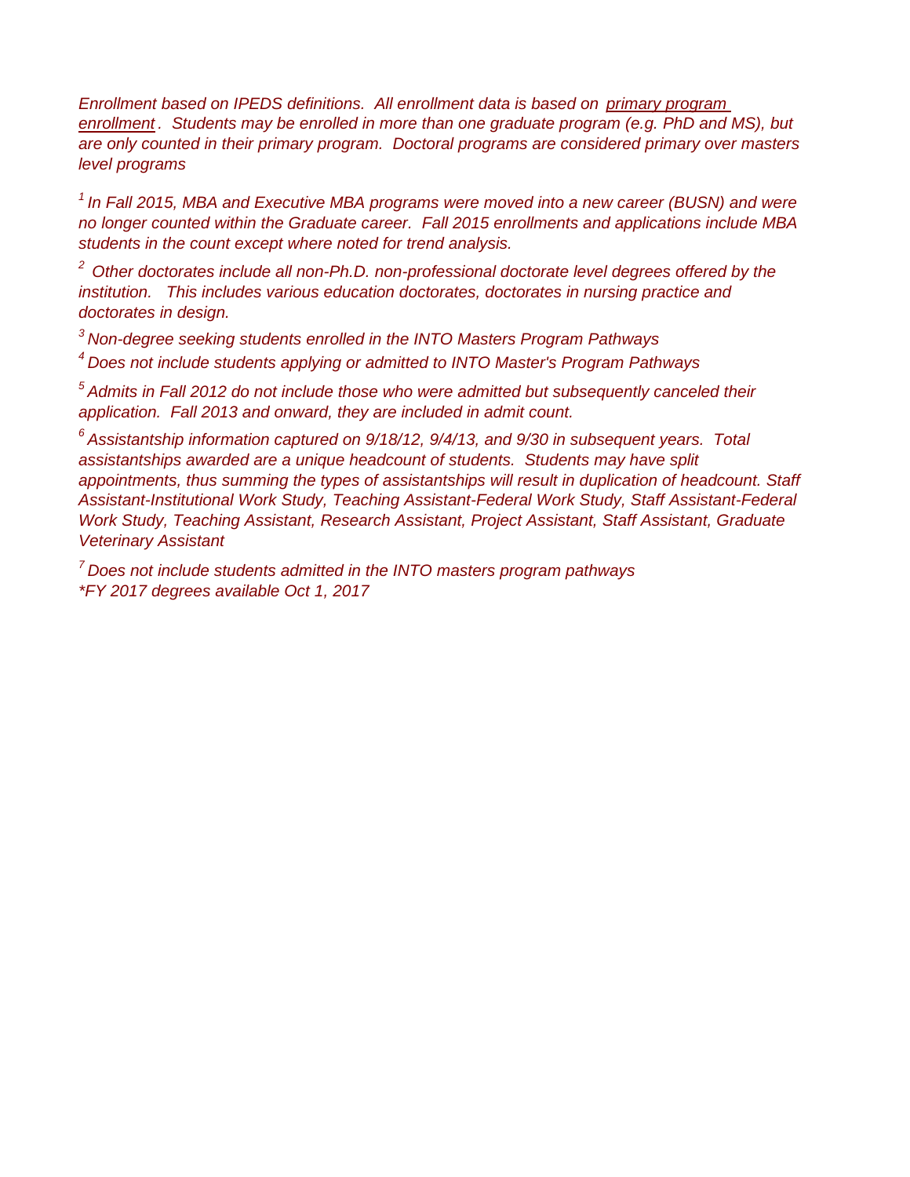*Enrollment based on IPEDS definitions. All enrollment data is based on primary program enrollment . Students may be enrolled in more than one graduate program (e.g. PhD and MS), but are only counted in their primary program. Doctoral programs are considered primary over masters level programs*

*<sup>1</sup> In Fall 2015, MBA and Executive MBA programs were moved into a new career (BUSN) and were no longer counted within the Graduate career. Fall 2015 enrollments and applications include MBA students in the count except where noted for trend analysis.*

*2 Other doctorates include all non-Ph.D. non-professional doctorate level degrees offered by the institution. This includes various education doctorates, doctorates in nursing practice and doctorates in design.*

*<sup>3</sup> Non-degree seeking students enrolled in the INTO Masters Program Pathways*

*<sup>4</sup> Does not include students applying or admitted to INTO Master's Program Pathways*

*<sup>5</sup> Admits in Fall 2012 do not include those who were admitted but subsequently canceled their application. Fall 2013 and onward, they are included in admit count.*

*<sup>6</sup> Assistantship information captured on 9/18/12, 9/4/13, and 9/30 in subsequent years. Total assistantships awarded are a unique headcount of students. Students may have split appointments, thus summing the types of assistantships will result in duplication of headcount. Staff Assistant-Institutional Work Study, Teaching Assistant-Federal Work Study, Staff Assistant-Federal Work Study, Teaching Assistant, Research Assistant, Project Assistant, Staff Assistant, Graduate Veterinary Assistant*

*\*FY 2017 degrees available Oct 1, 2017 <sup>7</sup> Does not include students admitted in the INTO masters program pathways*